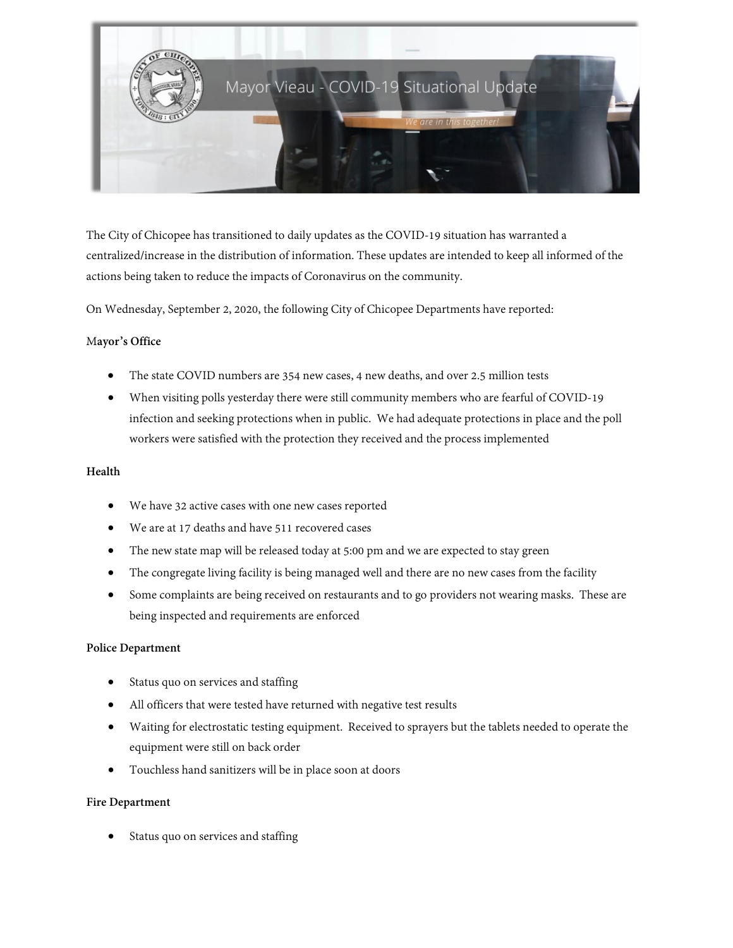

The City of Chicopee has transitioned to daily updates as the COVID-19 situation has warranted a centralized/increase in the distribution of information. These updates are intended to keep all informed of the actions being taken to reduce the impacts of Coronavirus on the community.

On Wednesday, September 2, 2020, the following City of Chicopee Departments have reported:

## M**ayor's Office**

- The state COVID numbers are 354 new cases, 4 new deaths, and over 2.5 million tests
- When visiting polls yesterday there were still community members who are fearful of COVID-19 infection and seeking protections when in public. We had adequate protections in place and the poll workers were satisfied with the protection they received and the process implemented

#### **Health**

- We have 32 active cases with one new cases reported
- We are at 17 deaths and have 511 recovered cases
- The new state map will be released today at 5:00 pm and we are expected to stay green
- The congregate living facility is being managed well and there are no new cases from the facility
- Some complaints are being received on restaurants and to go providers not wearing masks. These are being inspected and requirements are enforced

### **Police Department**

- Status quo on services and staffing
- All officers that were tested have returned with negative test results
- Waiting for electrostatic testing equipment. Received to sprayers but the tablets needed to operate the equipment were still on back order
- Touchless hand sanitizers will be in place soon at doors

### **Fire Department**

Status quo on services and staffing